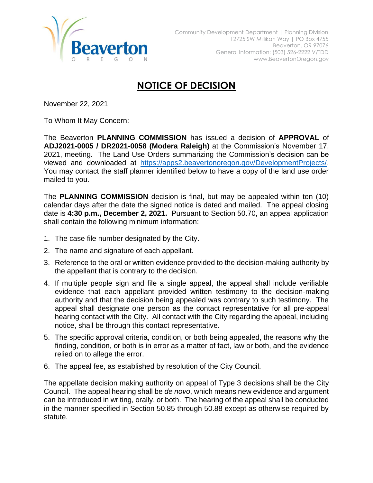

## **NOTICE OF DECISION**

November 22, 2021

To Whom It May Concern:

The Beaverton **PLANNING COMMISSION** has issued a decision of **APPROVAL** of **ADJ2021-0005 / DR2021-0058 (Modera Raleigh)** at the Commission's November 17, 2021, meeting. The Land Use Orders summarizing the Commission's decision can be viewed and downloaded at [https://apps2.beavertonoregon.gov/DevelopmentProjects/.](https://apps2.beavertonoregon.gov/DevelopmentProjects/) You may contact the staff planner identified below to have a copy of the land use order mailed to you.

The **PLANNING COMMISSION** decision is final, but may be appealed within ten (10) calendar days after the date the signed notice is dated and mailed. The appeal closing date is **4:30 p.m., December 2, 2021.** Pursuant to Section 50.70, an appeal application shall contain the following minimum information:

- 1. The case file number designated by the City.
- 2. The name and signature of each appellant.
- 3. Reference to the oral or written evidence provided to the decision-making authority by the appellant that is contrary to the decision.
- 4. If multiple people sign and file a single appeal, the appeal shall include verifiable evidence that each appellant provided written testimony to the decision-making authority and that the decision being appealed was contrary to such testimony. The appeal shall designate one person as the contact representative for all pre-appeal hearing contact with the City. All contact with the City regarding the appeal, including notice, shall be through this contact representative.
- 5. The specific approval criteria, condition, or both being appealed, the reasons why the finding, condition, or both is in error as a matter of fact, law or both, and the evidence relied on to allege the error.
- 6. The appeal fee, as established by resolution of the City Council.

The appellate decision making authority on appeal of Type 3 decisions shall be the City Council. The appeal hearing shall be *de novo*, which means new evidence and argument can be introduced in writing, orally, or both. The hearing of the appeal shall be conducted in the manner specified in Section 50.85 through 50.88 except as otherwise required by statute.